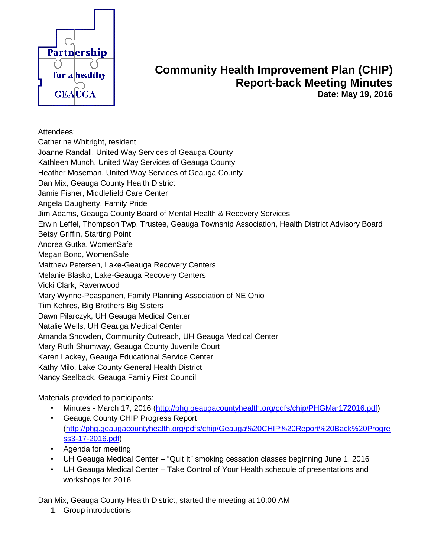

## **Community Health Improvement Plan (CHIP) Report-back Meeting Minutes Date: May 19, 2016**

Attendees:

Catherine Whitright, resident

Joanne Randall, United Way Services of Geauga County

Kathleen Munch, United Way Services of Geauga County

Heather Moseman, United Way Services of Geauga County

Dan Mix, Geauga County Health District

Jamie Fisher, Middlefield Care Center

Angela Daugherty, Family Pride

Jim Adams, Geauga County Board of Mental Health & Recovery Services

Erwin Leffel, Thompson Twp. Trustee, Geauga Township Association, Health District Advisory Board

Betsy Griffin, Starting Point

Andrea Gutka, WomenSafe

Megan Bond, WomenSafe

Matthew Petersen, Lake-Geauga Recovery Centers

Melanie Blasko, Lake-Geauga Recovery Centers

Vicki Clark, Ravenwood

Mary Wynne-Peaspanen, Family Planning Association of NE Ohio

Tim Kehres, Big Brothers Big Sisters

Dawn Pilarczyk, UH Geauga Medical Center

Natalie Wells, UH Geauga Medical Center

Amanda Snowden, Community Outreach, UH Geauga Medical Center

Mary Ruth Shumway, Geauga County Juvenile Court

Karen Lackey, Geauga Educational Service Center

Kathy Milo, Lake County General Health District

Nancy Seelback, Geauga Family First Council

Materials provided to participants:

- Minutes March 17, 2016 [\(http://phg.geaugacountyhealth.org/pdfs/chip/PHGMar172016.pdf\)](http://phg.geaugacountyhealth.org/pdfs/chip/PHGMar172016.pdf)
- Geauga County CHIP Progress Report [\(http://phg.geaugacountyhealth.org/pdfs/chip/Geauga%20CHIP%20Report%20Back%20Progre](http://phg.geaugacountyhealth.org/pdfs/chip/Geauga%20CHIP%20Report%20Back%20Progress3-17-2016.pdf) [ss3-17-2016.pdf\)](http://phg.geaugacountyhealth.org/pdfs/chip/Geauga%20CHIP%20Report%20Back%20Progress3-17-2016.pdf)
- Agenda for meeting
- UH Geauga Medical Center "Quit It" smoking cessation classes beginning June 1, 2016
- UH Geauga Medical Center Take Control of Your Health schedule of presentations and workshops for 2016

Dan Mix, Geauga County Health District, started the meeting at 10:00 AM

1. Group introductions